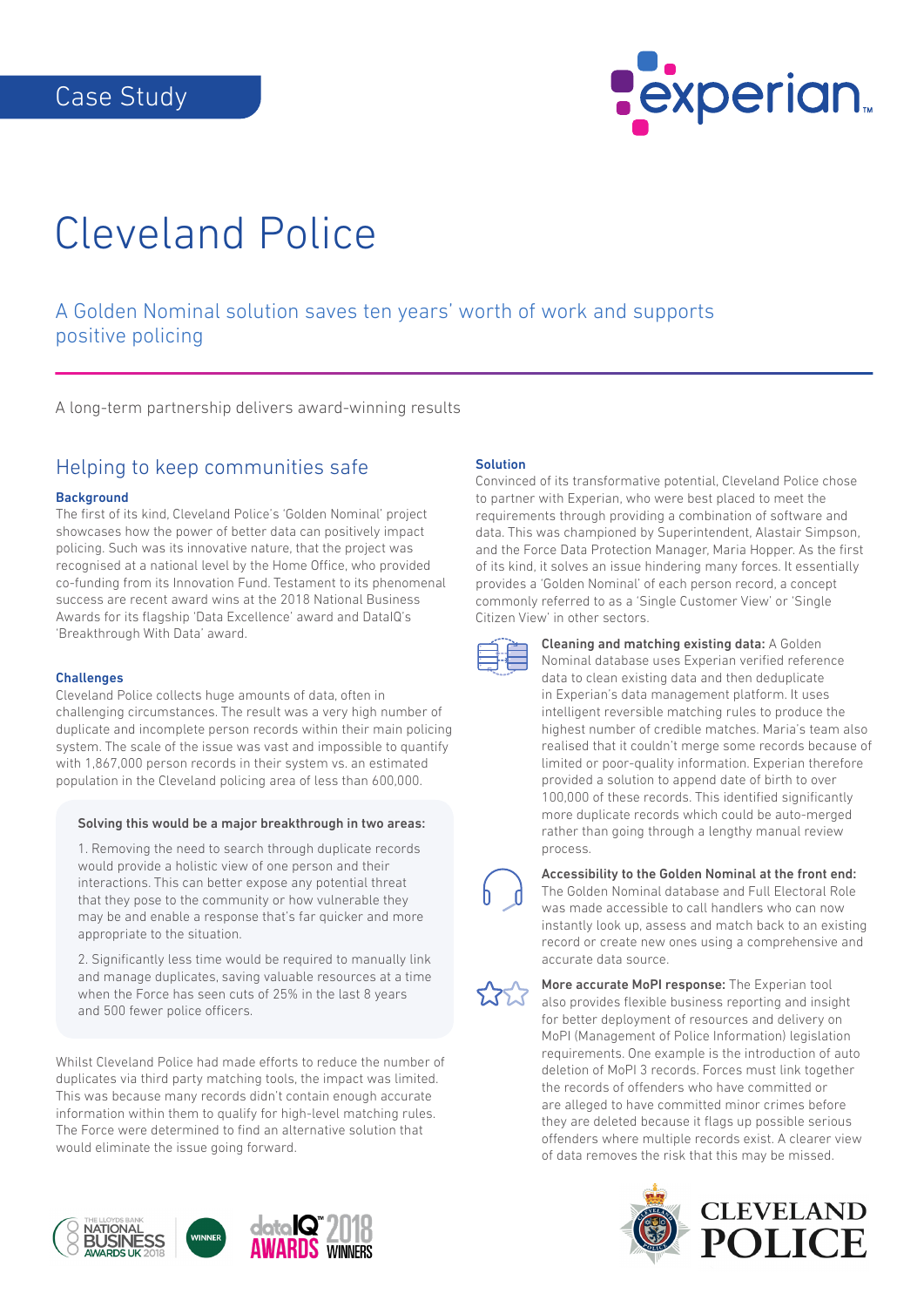

# Cleveland Police

## A Golden Nominal solution saves ten years' worth of work and supports positive policing

A long-term partnership delivers award-winning results

## Helping to keep communities safe

#### **Background**

The first of its kind, Cleveland Police's 'Golden Nominal' project showcases how the power of better data can positively impact policing. Such was its innovative nature, that the project was recognised at a national level by the Home Office, who provided co-funding from its Innovation Fund. Testament to its phenomenal success are recent award wins at the 2018 National Business Awards for its flagship 'Data Excellence' award and DataIQ's 'Breakthrough With Data' award.

#### **Challenges**

Cleveland Police collects huge amounts of data, often in challenging circumstances. The result was a very high number of duplicate and incomplete person records within their main policing system. The scale of the issue was vast and impossible to quantify with 1,867,000 person records in their system vs. an estimated population in the Cleveland policing area of less than 600,000.

#### Solving this would be a major breakthrough in two areas:

1. Removing the need to search through duplicate records would provide a holistic view of one person and their interactions. This can better expose any potential threat that they pose to the community or how vulnerable they may be and enable a response that's far quicker and more appropriate to the situation.

2. Significantly less time would be required to manually link and manage duplicates, saving valuable resources at a time when the Force has seen cuts of 25% in the last 8 years and 500 fewer police officers.

Whilst Cleveland Police had made efforts to reduce the number of duplicates via third party matching tools, the impact was limited. This was because many records didn't contain enough accurate information within them to qualify for high-level matching rules. The Force were determined to find an alternative solution that would eliminate the issue going forward.



#### Solution

Convinced of its transformative potential, Cleveland Police chose to partner with Experian, who were best placed to meet the requirements through providing a combination of software and data. This was championed by Superintendent, Alastair Simpson, and the Force Data Protection Manager, Maria Hopper. As the first of its kind, it solves an issue hindering many forces. It essentially provides a 'Golden Nominal' of each person record, a concept commonly referred to as a 'Single Customer View' or 'Single Citizen View' in other sectors.



Cleaning and matching existing data: A Golden Nominal database uses Experian verified reference data to clean existing data and then deduplicate in Experian's data management platform. It uses intelligent reversible matching rules to produce the highest number of credible matches. Maria's team also realised that it couldn't merge some records because of limited or poor-quality information. Experian therefore provided a solution to append date of birth to over 100,000 of these records. This identified significantly more duplicate records which could be auto-merged rather than going through a lengthy manual review process.



### Accessibility to the Golden Nominal at the front end: The Golden Nominal database and Full Electoral Role

was made accessible to call handlers who can now instantly look up, assess and match back to an existing record or create new ones using a comprehensive and accurate data source.



More accurate MoPI response: The Experian tool also provides flexible business reporting and insight for better deployment of resources and delivery on MoPI (Management of Police Information) legislation requirements. One example is the introduction of auto deletion of MoPI 3 records. Forces must link together the records of offenders who have committed or are alleged to have committed minor crimes before they are deleted because it flags up possible serious offenders where multiple records exist. A clearer view of data removes the risk that this may be missed.